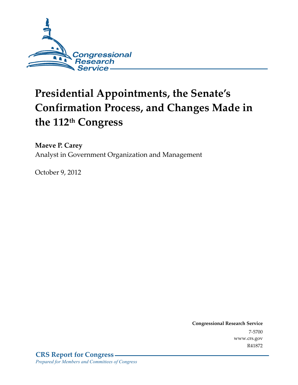

# **Presidential Appointments, the Senate's Confirmation Process, and Changes Made in the 112th Congress**

**Maeve P. Carey**  Analyst in Government Organization and Management

October 9, 2012

**Congressional Research Service**  7-5700 www.crs.gov R41872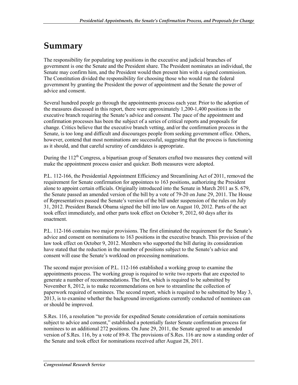## **Summary**

The responsibility for populating top positions in the executive and judicial branches of government is one the Senate and the President share. The President nominates an individual, the Senate may confirm him, and the President would then present him with a signed commission. The Constitution divided the responsibility for choosing those who would run the federal government by granting the President the power of appointment and the Senate the power of advice and consent.

Several hundred people go through the appointments process each year. Prior to the adoption of the measures discussed in this report, there were approximately 1,200-1,400 positions in the executive branch requiring the Senate's advice and consent. The pace of the appointment and confirmation processes has been the subject of a series of critical reports and proposals for change. Critics believe that the executive branch vetting, and/or the confirmation process in the Senate, is too long and difficult and discourages people from seeking government office. Others, however, contend that most nominations are successful, suggesting that the process is functioning as it should, and that careful scrutiny of candidates is appropriate.

During the  $112<sup>th</sup>$  Congress, a bipartisan group of Senators crafted two measures they contend will make the appointment process easier and quicker. Both measures were adopted.

P.L. 112-166, the Presidential Appointment Efficiency and Streamlining Act of 2011, removed the requirement for Senate confirmation for appointees to 163 positions, authorizing the President alone to appoint certain officials. Originally introduced into the Senate in March 2011 as S. 679, the Senate passed an amended version of the bill by a vote of 79-20 on June 29, 2011. The House of Representatives passed the Senate's version of the bill under suspension of the rules on July 31, 2012. President Barack Obama signed the bill into law on August 10, 2012. Parts of the act took effect immediately, and other parts took effect on October 9, 2012, 60 days after its enactment.

P.L. 112-166 contains two major provisions. The first eliminated the requirement for the Senate's advice and consent on nominations to 163 positions in the executive branch. This provision of the law took effect on October 9, 2012. Members who supported the bill during its consideration have stated that the reduction in the number of positions subject to the Senate's advice and consent will ease the Senate's workload on processing nominations.

The second major provision of P.L. 112-166 established a working group to examine the appointments process. The working group is required to write two reports that are expected to generate a number of recommendations. The first, which is required to be submitted by November 8, 2012, is to make recommendations on how to streamline the collection of paperwork required of nominees. The second report, which is required to be submitted by May 3, 2013, is to examine whether the background investigations currently conducted of nominees can or should be improved.

S.Res. 116, a resolution "to provide for expedited Senate consideration of certain nominations subject to advice and consent," established a potentially faster Senate confirmation process for nominees to an additional 272 positions. On June 29, 2011, the Senate agreed to an amended version of S.Res. 116, by a vote of 89-8. The provisions of S.Res. 116 are now a standing order of the Senate and took effect for nominations received after August 28, 2011.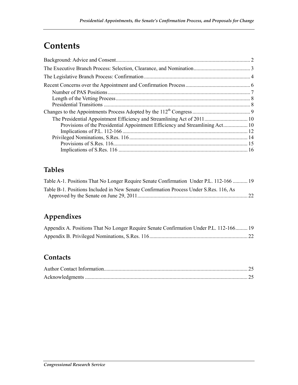## **Contents**

| Provisions of the Presidential Appointment Efficiency and Streamlining Act 10 |  |
|-------------------------------------------------------------------------------|--|
|                                                                               |  |
|                                                                               |  |
|                                                                               |  |
|                                                                               |  |

### **Tables**

| Table A-1. Positions That No Longer Require Senate Confirmation Under P.L. 112-166  19 |  |
|----------------------------------------------------------------------------------------|--|
| Table B-1. Positions Included in New Senate Confirmation Process Under S.Res. 116, As  |  |
|                                                                                        |  |

### **Appendixes**

| Appendix A. Positions That No Longer Require Senate Confirmation Under P.L. 112-166 19 |  |
|----------------------------------------------------------------------------------------|--|
|                                                                                        |  |

### **Contacts**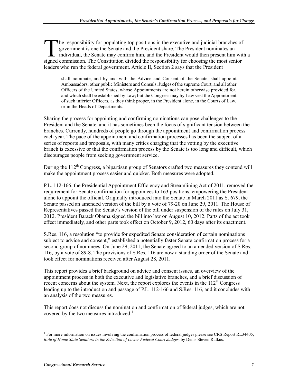he responsibility for populating top positions in the executive and judicial branches of government is one the Senate and the President share. The President nominates an individual, the Senate may confirm him, and the President would then present him with a The responsibility for populating top positions in the executive and judicial branches of government is one the Senate and the President share. The President nominates an individual, the Senate may confirm him, and the Pre leaders who run the federal government. Article II, Section 2 says that the President

shall nominate, and by and with the Advice and Consent of the Senate, shall appoint Ambassadors, other public Ministers and Consuls, Judges of the supreme Court, and all other Officers of the United States, whose Appointments are not herein otherwise provided for, and which shall be established by Law; but the Congress may by Law vest the Appointment of such inferior Officers, as they think proper, in the President alone, in the Courts of Law, or in the Heads of Departments.

Sharing the process for appointing and confirming nominations can pose challenges to the President and the Senate, and it has sometimes been the focus of significant tension between the branches. Currently, hundreds of people go through the appointment and confirmation process each year. The pace of the appointment and confirmation processes has been the subject of a series of reports and proposals, with many critics charging that the vetting by the executive branch is excessive or that the confirmation process by the Senate is too long and difficult, which discourages people from seeking government service.

During the  $112<sup>th</sup>$  Congress, a bipartisan group of Senators crafted two measures they contend will make the appointment process easier and quicker. Both measures were adopted.

P.L. 112-166, the Presidential Appointment Efficiency and Streamlining Act of 2011, removed the requirement for Senate confirmation for appointees to 163 positions, empowering the President alone to appoint the official. Originally introduced into the Senate in March 2011 as S. 679, the Senate passed an amended version of the bill by a vote of 79-20 on June 29, 2011. The House of Representatives passed the Senate's version of the bill under suspension of the rules on July 31, 2012. President Barack Obama signed the bill into law on August 10, 2012. Parts of the act took effect immediately, and other parts took effect on October 9, 2012, 60 days after its enactment.

S.Res. 116, a resolution "to provide for expedited Senate consideration of certain nominations subject to advice and consent," established a potentially faster Senate confirmation process for a second group of nominees. On June 29, 2011, the Senate agreed to an amended version of S.Res. 116, by a vote of 89-8. The provisions of S.Res. 116 are now a standing order of the Senate and took effect for nominations received after August 28, 2011.

This report provides a brief background on advice and consent issues, an overview of the appointment process in both the executive and legislative branches, and a brief discussion of recent concerns about the system. Next, the report explores the events in the  $112<sup>th</sup>$  Congress leading up to the introduction and passage of P.L. 112-166 and S.Res. 116, and it concludes with an analysis of the two measures.

This report does not discuss the nomination and confirmation of federal judges, which are not covered by the two measures introduced. $1$ 

<sup>1</sup> <sup>1</sup> For more information on issues involving the confirmation process of federal judges please see CRS Report RL34405, *Role of Home State Senators in the Selection of Lower Federal Court Judges*, by Denis Steven Rutkus.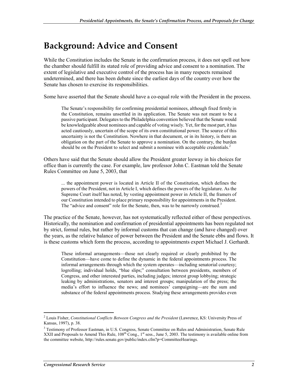## **Background: Advice and Consent**

While the Constitution includes the Senate in the confirmation process, it does not spell out how the chamber should fulfill its stated role of providing advice and consent to a nomination. The extent of legislative and executive control of the process has in many respects remained undetermined, and there has been debate since the earliest days of the country over how the Senate has chosen to exercise its responsibilities.

Some have asserted that the Senate should have a co-equal role with the President in the process.

The Senate's responsibility for confirming presidential nominees, although fixed firmly in the Constitution, remains unsettled in its application. The Senate was not meant to be a passive participant. Delegates to the Philadelphia convention believed that the Senate would be knowledgeable about nominees and capable of voting wisely. Yet, for the most part, it has acted cautiously, uncertain of the scope of its own constitutional power. The source of this uncertainty is not the Constitution. Nowhere in that document, or in its history, is there an obligation on the part of the Senate to approve a nomination. On the contrary, the burden should be on the President to select and submit a nominee with acceptable credentials.<sup>2</sup>

Others have said that the Senate should allow the President greater leeway in his choices for office than is currently the case. For example, law professor John C. Eastman told the Senate Rules Committee on June 5, 2003, that

... the appointment power is located in Article II of the Constitution, which defines the powers of the President, not in Article I, which defines the powers of the legislature. As the Supreme Court itself has noted, by vesting appointment power in Article II, the framers of our Constitution intended to place primary responsibility for appointments in the President. The "advice and consent" role for the Senate, then, was to be narrowly construed.<sup>3</sup>

The practice of the Senate, however, has not systematically reflected either of these perspectives. Historically, the nomination and confirmation of presidential appointments has been regulated not by strict, formal rules, but rather by informal customs that can change (and have changed) over the years, as the relative balance of power between the President and the Senate ebbs and flows. It is these customs which form the process, according to appointments expert Michael J. Gerhardt.

These informal arrangements—those not clearly required or clearly prohibited by the Constitution—have come to define the dynamic in the federal appointments process. The informal arrangements through which the system operates—including senatorial courtesy; logrolling; individual holds, "blue slips;" consultation between presidents, members of Congress, and other interested parties, including judges; interest group lobbying; strategic leaking by administrations, senators and interest groups; manipulation of the press; the media's effort to influence the news; and nominees' campaigning—are the sum and substance of the federal appointments process. Studying these arrangements provides even

<sup>2</sup> Louis Fisher, *Constitutional Conflicts Between Congress and the President* (Lawrence, KS: University Press of Kansas, 1997), p. 38.

<sup>&</sup>lt;sup>3</sup> Testimony of Professor Eastman, in U.S. Congress, Senate Committee on Rules and Administration, Senate Rule XXII and Proposals to Amend This Rule,  $108<sup>th</sup>$  Cong.,  $1<sup>st</sup>$  sess., June 5, 2003. The testimony is available online from the committee website, http://rules.senate.gov/public/index.cfm?p=CommitteeHearings.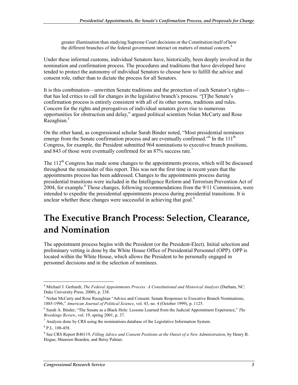greater illumination than studying Supreme Court decisions or the Constitution itself of how the different branches of the federal government interact on matters of mutual concern.<sup>4</sup>

Under these informal customs, individual Senators have, historically, been deeply involved in the nomination and confirmation process. The procedures and traditions that have developed have tended to protect the autonomy of individual Senators to choose how to fulfill the advice and consent role, rather than to dictate the process for all Senators.

It is this combination—unwritten Senate traditions and the protection of each Senator's rights that has led critics to call for changes in the legislative branch's process. "[T]he Senate's confirmation process is entirely consistent with all of its other norms, traditions and rules. Concern for the rights and prerogatives of individual senators gives rise to numerous opportunities for obstruction and delay," argued political scientists Nolan McCarty and Rose Razaghian.<sup>5</sup>

On the other hand, as congressional scholar Sarah Binder noted, "Most presidential nominees emerge from the Senate confirmation process and are eventually confirmed."<sup>6</sup> In the 111<sup>th</sup> Congress, for example, the President submitted 964 nominations to executive branch positions, and 843 of those were eventually confirmed for an 87% success rate.<sup>7</sup>

The  $112<sup>th</sup>$  Congress has made some changes to the appointments process, which will be discussed throughout the remainder of this report. This was not the first time in recent years that the appointments process has been addressed. Changes to the appointments process during presidential transitions were included in the Intelligence Reform and Terrorism Prevention Act of  $2004$ , for example.<sup>8</sup> Those changes, following recommendations from the  $9/11$  Commission, were intended to expedite the presidential appointments process during presidential transitions. It is unclear whether these changes were successful in achieving that goal.<sup>9</sup>

## **The Executive Branch Process: Selection, Clearance, and Nomination**

The appointment process begins with the President (or the President-Elect). Initial selection and preliminary vetting is done by the White House Office of Presidential Personnel (OPP). OPP is located within the White House, which allows the President to be personally engaged in personnel decisions and in the selection of nominees.

<sup>1</sup> 4 Michael J. Gerhardt, *The Federal Appointments Process: A Constitutional and Historical Analysis* (Durham, NC: Duke University Press, 2000), p. 338.

<sup>&</sup>lt;sup>5</sup> Nolan McCarty and Rose Razaghian "Advice and Consent: Senate Responses to Executive Branch Nominations, 1885-1996," *American Journal of Political Science*, vol. 43, no. 4 (October 1999), p. 1125.

<sup>6</sup> Sarah A. Binder, "The Senate as a Black Hole: Lessons Learned from the Judicial Appointment Experience," *The Brookings Review*, vol. 19, spring 2001, p. 37.

 $<sup>7</sup>$  Analysis done by CRS using the nominations database of the Legislative Information System.</sup>

<sup>8</sup> P.L. 108-458.

<sup>&</sup>lt;sup>9</sup> See CRS Report R40119, *Filling Advice and Consent Positions at the Outset of a New Administration*, by Henry B. Hogue, Maureen Bearden, and Betsy Palmer.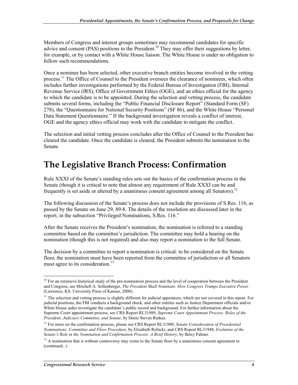Members of Congress and interest groups sometimes may recommend candidates for specific advice and consent (PAS) positions to the President.<sup>10</sup> They may offer their suggestions by letter, for example, or by contact with a White House liaison. The White House is under no obligation to follow such recommendations.

Once a nominee has been selected, other executive branch entities become involved in the vetting process.<sup>11</sup> The Office of Counsel to the President oversees the clearance of nominees, which often includes further investigations performed by the Federal Bureau of Investigation (FBI), Internal Revenue Service (IRS), Office of Government Ethics (OGE), and an ethics official for the agency to which the candidate is to be appointed. During the selection and vetting process, the candidate submits several forms, including the "Public Financial Disclosure Report" (Standard Form (SF) 278), the "Questionnaire for National Security Positions" (SF 86), and the White House "Personal Data Statement Questionnaire." If the background investigation reveals a conflict of interest, OGE and the agency ethics official may work with the candidate to mitigate the conflict.

The selection and initial vetting process concludes after the Office of Counsel to the President has cleared the candidate. Once the candidate is cleared, the President submits the nomination to the Senate.

## **The Legislative Branch Process: Confirmation**

Rule XXXI of the Senate's standing rules sets out the basics of the confirmation process in the Senate (though it is critical to note that almost any requirement of Rule XXXI can be and frequently is set aside or altered by a unanimous consent agreement among all Senators).<sup>12</sup>

The following discussion of the Senate's process does not include the provisions of S.Res. 116, as passed by the Senate on June 29, 89-8. The details of the resolution are discussed later in the report, in the subsection "Privileged Nominations, S.Res. 116."

After the Senate receives the President's nomination, the nomination is referred to a standing committee based on the committee's jurisdiction. The committee may hold a hearing on the nomination (though this is not required) and also may report a nomination to the full Senate.

The decision by a committee to report a nomination is critical: to be considered on the Senate floor, the nomination must have been reported from the committee of jurisdiction or all Senators must agree to its consideration.<sup>13</sup>

 $10$  For an extensive historical study of the pre-nomination process and the level of cooperation between the President and Congress, see Mitchell A. Sollenberger, *The President Shall Nominate: How Congress Trumps Executive Power* (Lawrence, KS: University Press of Kansas, 2008).

 $11$  The selection and vetting process is slightly different for judicial appointees, which are not covered in this report. For judicial positions, the FBI conducts a background check, and other entities such as Justice Department officials and/or White House aides investigate the candidate's public record and background. For further information about the Supreme Court appointment process, see CRS Report RL31989, *Supreme Court Appointment Process: Roles of the President, Judiciary Committee, and Senate*, by Denis Steven Rutkus.

<sup>12</sup> For more on the confirmation process, please see CRS Report RL31980, *Senate Consideration of Presidential Nominations: Committee and Floor Procedure*, by Elizabeth Rybicki, and CRS Report RL31948, *Evolution of the Senate's Role in the Nomination and Confirmation Process: A Brief History*, by Betsy Palmer.

<sup>&</sup>lt;sup>13</sup> A nomination that is without controversy may come to the Senate floor by a unanimous consent agreement to (continued...)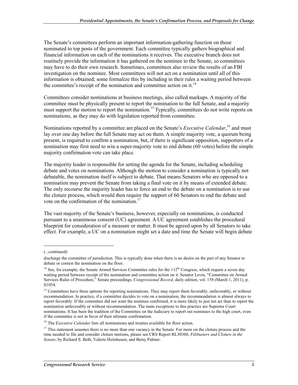The Senate's committees perform an important information-gathering function on those nominated to top posts of the government. Each committee typically gathers biographical and financial information on each of the nominations it receives. The executive branch does not routinely provide the information it has gathered on the nominee to the Senate, so committees may have to do their own research. Sometimes, committees also review the results of an FBI investigation on the nominee. Most committees will not act on a nomination until all of this information is obtained; some formalize this by including in their rules a waiting period between the committee's receipt of the nomination and committee action on it. $^{14}$ 

Committees consider nominations at business meetings, also called markups. A majority of the committee must be physically present to report the nomination to the full Senate, and a majority must support the motion to report the nomination.<sup>15</sup> Typically, committees do not write reports on nominations, as they may do with legislation reported from committee.

Nominations reported by a committee are placed on the Senate's *Executive Calendar*, <sup>16</sup> and must lay over one day before the full Senate may act on them. A simple majority vote, a quorum being present, is required to confirm a nomination, but, if there is significant opposition, supporters of a nomination may first need to win a super-majority vote to end debate (60 votes) before the simple majority confirmation vote can take place.

The majority leader is responsible for setting the agenda for the Senate, including scheduling debate and votes on nominations. Although the motion to consider a nomination is typically not debatable, the nomination itself is subject to debate. That means Senators who are opposed to a nomination may prevent the Senate from taking a final vote on it by means of extended debate. The only recourse the majority leader has to force an end to the debate on a nomination is to use the cloture process, which would then require the support of 60 Senators to end the debate and vote on the confirmation of the nomination.17

The vast majority of the Senate's business, however, especially on nominations, is conducted pursuant to a unanimous consent (UC) agreement. A UC agreement establishes the procedural blueprint for consideration of a measure or matter. It must be agreed upon by all Senators to take effect. For example, a UC on a nomination might set a date and time the Senate will begin debate

 $\overline{a}$ 

<sup>(...</sup>continued)

discharge the committee of jurisdiction. This is typically done when there is no desire on the part of any Senator to debate or contest the nomination on the floor.

<sup>&</sup>lt;sup>14</sup> See, for example, the Senate Armed Services Committee rules for the  $112<sup>th</sup>$  Congress, which require a seven day waiting period between receipt of the nomination and committee action on it. Senator Levin, "Committee on Armed Services Rules of Procedure," Senate proceedings, *Congressional Record*, daily edition, vol. 158 (March 1, 2011), p. S1054.

<sup>&</sup>lt;sup>15</sup> Committees have three options for reporting nominations. They may report them favorably, unfavorably, or without recommendation. In practice, if a committee decides to vote on a nomination, the recommendation is almost always to report favorably. If the committee did not want the nominee confirmed, it is more likely to just not act than to report the nomination unfavorably or without recommendation. The main exceptions to this practice are Supreme Court nominations. It has been the tradition of the Committee on the Judiciary to report out nominees to the high court, even if the committee is not in favor of their ultimate confirmation.

<sup>16</sup> The *Executive Calendar* lists all nominations and treaties available for floor action.

<sup>&</sup>lt;sup>17</sup> This statement assumes there is no more than one vacancy in the Senate. For more on the cloture process and the time needed to file and consider cloture motions, please see CRS Report RL30360, *Filibusters and Cloture in the Senate*, by Richard S. Beth, Valerie Heitshusen, and Betsy Palmer.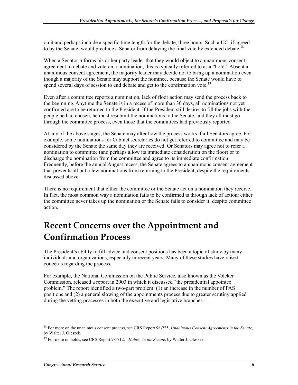on it and perhaps include a specific time length for the debate, three hours. Such a UC, if agreed to by the Senate, would preclude a Senator from delaying the final vote by extended debate.<sup>18</sup>

When a Senator informs his or her party leader that they would object to a unanimous consent agreement to debate and vote on a nomination, this is typically referred to as a "hold." Absent a unanimous consent agreement, the majority leader may decide not to bring up a nomination even though a majority of the Senate may support the nominee, because the Senate would have to spend several days of session to end debate and get to the confirmation vote.<sup>19</sup>

Even after a committee reports a nomination, lack of floor action may send the process back to the beginning. Anytime the Senate is in a recess of more than 30 days, all nominations not yet confirmed are to be returned to the President. If the President still desires to fill the jobs with the people he had chosen, he must resubmit the nominations to the Senate, and they all must go through the committee process, even those that the committees had previously reported.

At any of the above stages, the Senate may alter how the process works if all Senators agree. For example, some nominations for Cabinet secretaries do not get referred to committee and may be considered by the Senate the same day they are received. Or Senators may agree not to refer a nomination to committee (and perhaps allow its immediate consideration on the floor) or to discharge the nomination from the committee and agree to its immediate confirmation. Frequently, before the annual August recess, the Senate agrees to a unanimous consent agreement that prevents all but a few nominations from returning to the President, despite the requirements discussed above.

There is no requirement that either the committee or the Senate act on a nomination they receive. In fact, the most common way a nomination fails to be confirmed is through lack of action: either the committee never takes up the nomination or the Senate fails to consider it, despite committee action.

## **Recent Concerns over the Appointment and Confirmation Process**

The President's ability to fill advice and consent positions has been a topic of study by many individuals and organizations, especially in recent years. Many of these studies have raised concerns regarding the process.

For example, the National Commission on the Public Service, also known as the Volcker Commission, released a report in 2003 in which it discussed "the presidential appointee problem." The report identified a two-part problem: (1) an increase in the number of PAS positions and (2) a general slowing of the appointments process due to greater scrutiny applied during the vetting processes in both the executive and legislative branches.

<sup>18</sup> For more on the unanimous consent process, see CRS Report 98-225, *Unanimous Consent Agreements in the Senate*, by Walter J. Oleszek.

<sup>19</sup> For more on holds, see CRS Report 98-712, *"Holds" in the Senate*, by Walter J. Oleszek.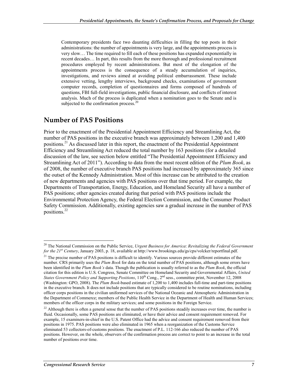Contemporary presidents face two daunting difficulties in filling the top posts in their administrations: the number of appointments is very large, and the appointments process is very slow… The time required to fill each of these positions has expanded exponentially in recent decades… In part, this results from the more thorough and professional recruitment procedures employed by recent administrations. But most of the elongation of the appointments process is the consequence of a steady accumulation of inquiries, investigations, and reviews aimed at avoiding political embarrassment. These include extensive vetting, lengthy interviews, background checks, examinations of government computer records, completion of questionnaires and forms composed of hundreds of questions, FBI full-field investigations, public financial disclosure, and conflicts of interest analysis. Much of the process is duplicated when a nomination goes to the Senate and is subjected to the confirmation process. $20$ 

### **Number of PAS Positions**

Prior to the enactment of the Presidential Appointment Efficiency and Streamlining Act, the number of PAS positions in the executive branch was approximately between 1,200 and 1,400 positions.<sup>21</sup> As discussed later in this report, the enactment of the Presidential Appointment Efficiency and Streamlining Act reduced the total number by 163 positions (for a detailed discussion of the law, see section below entitled "The Presidential Appointment Efficiency and Streamlining Act of 2011"). According to data from the most recent edition of the *Plum Book*, as of 2008, the number of executive branch PAS positions had increased by approximately 365 since the outset of the Kennedy Administration. Most of this increase can be attributed to the creation of new departments and agencies with PAS positions over that time period. For example, the Departments of Transportation, Energy, Education, and Homeland Security all have a number of PAS positions; other agencies created during that period with PAS positions include the Environmental Protection Agency, the Federal Election Commission, and the Consumer Product Safety Commission. Additionally, existing agencies saw a gradual increase in the number of PAS positions.22

<u>.</u>

<sup>20</sup> The National Commission on the Public Service, *Urgent Business for America*: *Revitalizing the Federal Government for the 21st Century*, January 2003, p. 18, available at http://www.brookings.edu/gs/cps/volcker/reportfinal.pdf.

<sup>&</sup>lt;sup>21</sup> The precise number of PAS positions is difficult to identify. Various sources provide different estimates of the number. CRS primarily uses the *Plum Book* for data on the total number of PAS positions, although some errors have been identified in the *Plum Book's* data. Though the publication is usually referred to as the *Plum Book*, the official citation for this edition is U.S. Congress, Senate Committee on Homeland Security and Governmental Affairs, *United States Government Policy and Supporting Positions*, 110<sup>th</sup> Cong., 2<sup>nd</sup> sess., committee print, November 12, 2008 (Washington: GPO, 2008). The *Plum Book*-based estimate of 1,200 to 1,400 includes full-time and part-time positions in the executive branch. It does not include positions that are typically considered to be routine nominations, including officer corps positions in the civilian uniformed services of the National Oceanic and Atmospheric Administration in the Department of Commerce; members of the Public Health Service in the Department of Health and Human Services; members of the officer corps in the military services; and some positions in the Foreign Service.

<sup>&</sup>lt;sup>22</sup> Although there is often a general sense that the number of PAS positions steadily increases over time, the number is fluid. Occasionally, some PAS positions are eliminated, or have their advice and consent requirement removed. For example, 15 examiners-in-chief in the U.S. Patent Office had the advice and consent requirement removed from their positions in 1975. PAS positions were also eliminated in 1965 when a reorganization of the Customs Service eliminated 53 collectors-of-customs positions. The enactment of P.L. 112-166 also reduced the number of PAS positions. However, on the whole, observers of the confirmation process are correct to point to an increase in the total number of positions over time.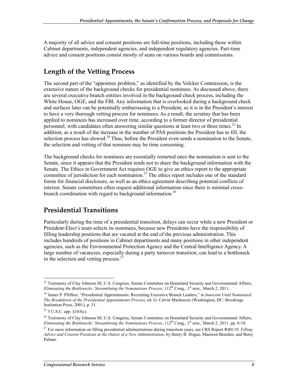A majority of all advice and consent positions are full-time positions, including those within Cabinet departments, independent agencies, and independent regulatory agencies. Part-time advice and consent positions consist mostly of seats on various boards and commissions.

### **Length of the Vetting Process**

The second part of the "appointee problem," as identified by the Volcker Commission, is the extensive nature of the background checks for presidential nominees. As discussed above, there are several executive branch entities involved in the background check process, including the White House, OGE, and the FBI. Any information that is overlooked during a background check and surfaces later can be potentially embarrassing to a President, so it is in the President's interest to have a very thorough vetting process for nominees. As a result, the scrutiny that has been applied to nominees has increased over time, according to a former director of presidential personnel, with candidates often answering similar questions at least two or three times.<sup>23</sup> In addition, as a result of the increase in the number of PAS positions the President has to fill, the selection process has slowed.<sup>24</sup> Thus, before the President even sends a nomination to the Senate, the selection and vetting of that nominee may be time consuming.

The background checks for nominees are essentially restarted once the nomination is sent to the Senate, since it appears that the President tends not to share the background information with the Senate. The Ethics in Government Act requires OGE to give an ethics report to the appropriate committee of jurisdiction for each nomination.<sup>25</sup> The ethics report includes one of the standard forms for financial disclosure, as well as an ethics agreement describing potential conflicts of interest. Senate committees often request additional information since there is minimal crossbranch coordination with regard to background information.<sup>26</sup>

### **Presidential Transitions**

Particularly during the time of a presidential transition, delays can occur while a new President or President-Elect's team selects its nominees, because new Presidents have the responsibility of filling leadership positions that are vacated at the end of the previous administration. This includes hundreds of positions in Cabinet departments and many positions in other independent agencies, such as the Environmental Protection Agency and the Central Intelligence Agency. A large number of vacancies, especially during a party turnover transition, can lead to a bottleneck in the selection and vetting process. $2^{2}$ 

<sup>&</sup>lt;u>.</u> <sup>23</sup> Testimony of Clay Johnson III, U.S. Congress, Senate Committee on Homeland Security and Governmental Affairs, *Eliminating the Bottlenecks: Streamlining the Nominations Process*, 112<sup>th</sup> Cong., 1<sup>st</sup> sess., March 2, 2011.

<sup>24</sup> James P. Pfiffner, "Presidential Appointments: Recruiting Executive Branch Leaders," in *Innocent Until Nominated: The Breakdown of the Presidential Appointments Process*, ed. G. Calvin Mackenzie (Washington, DC: Brookings Institution Press, 2001), p. 51.

 $25$  5 U.S.C. app. §103(c).

<sup>&</sup>lt;sup>26</sup> Testimony of Clay Johnson III, U.S. Congress, Senate Committee on Homeland Security and Governmental Affairs, *Eliminating the Bottlenecks: Streamlining the Nominations Process*, 112<sup>th</sup> Cong., 1<sup>st</sup> sess., March 2, 2011. pp. 8-10.

<sup>27</sup> For more information on filling presidential administrations during transition years, see CRS Report R40119, *Filling Advice and Consent Positions at the Outset of a New Administration*, by Henry B. Hogue, Maureen Bearden, and Betsy Palmer.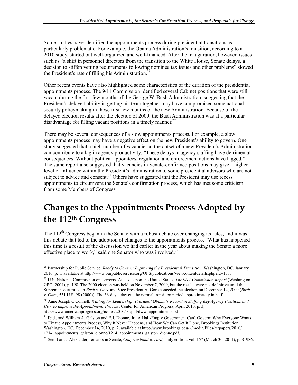Some studies have identified the appointments process during presidential transitions as particularly problematic. For example, the Obama Administration's transition, according to a 2010 study, started out well-organized and well-financed. After the inauguration, however, issues such as "a shift in personnel directors from the transition to the White House, Senate delays, a decision to stiffen vetting requirements following nominee tax issues and other problems" slowed the President's rate of filling his Administration.<sup>28</sup>

Other recent events have also highlighted some characteristics of the duration of the presidential appointments process. The 9/11 Commission identified several Cabinet positions that were still vacant during the first few months of the George W. Bush Administration, suggesting that the President's delayed ability in getting his team together may have compromised some national security policymaking in those first few months of the new Administration. Because of the delayed election results after the election of 2000, the Bush Administration was at a particular disadvantage for filling vacant positions in a timely manner.<sup>29</sup>

There may be several consequences of a slow appointments process. For example, a slow appointments process may have a negative effect on the new President's ability to govern. One study suggested that a high number of vacancies at the outset of a new President's Administration can contribute to a lag in agency productivity: "These delays in agency staffing have detrimental consequences. Without political appointees, regulation and enforcement actions have lagged.<sup>330</sup> The same report also suggested that vacancies in Senate-confirmed positions may give a higher level of influence within the President's administration to some presidential advisors who are not subject to advice and consent.<sup>31</sup> Others have suggested that the President may use recess appointments to circumvent the Senate's confirmation process, which has met some criticism from some Members of Congress.

## **Changes to the Appointments Process Adopted by the 112th Congress**

The  $112<sup>th</sup>$  Congress began in the Senate with a robust debate over changing its rules, and it was this debate that led to the adoption of changes to the appointments process. "What has happened this time is a result of the discussion we had earlier in the year about making the Senate a more effective place to work," said one Senator who was involved. $32$ 

<sup>&</sup>lt;u>.</u> 28 Partnership for Public Service, *Ready to Govern: Improving the Presidential Transition*, Washington, DC, January 2010, p. 1, available at http://www.ourpublicservice.org/OPS/publications/viewcontentdetails.php?id=138.

<sup>29</sup> U.S. National Commission on Terrorist Attacks Upon the United States, *The 9/11 Commission Report* (Washington: GPO, 2004), p. 198. The 2000 election was held on November 7, 2000, but the results were not definitive until the Supreme Court ruled in *Bush v. Gore* and Vice President Al Gore conceded the election on December 12, 2000 (*Bush v. Gore*, 531 U.S. 98 (2000)). The 36-day delay cut the normal transition period approximately in half.

<sup>30</sup> Anne Joseph O'Connell, *Waiting for Leadership: President Obama's Record in Staffing Key Agency Positions and How to Improve the Appointments Process*, Center for American Progress, April 2010, p. 3, http://www.americanprogress.org/issues/2010/04/pdf/dww\_appointments.pdf.

<sup>&</sup>lt;sup>31</sup> Ibid., and William A. Galston and E.J. Dionne, Jr., A Half-Empty Government Can't Govern: Why Everyone Wants to Fix the Appointments Process, Why It Never Happens, and How We Can Get It Done, Brookings Institution, Washington, DC, December 14, 2010, p. 2, available at http://www.brookings.edu/~/media/Files/rc/papers/2010/ 1214 appointments galston dionne/1214 appointments galston dionne.pdf.

<sup>32</sup> Sen. Lamar Alexander, remarks in Senate, *Congressional Record*, daily edition, vol. 157 (March 30, 2011), p. S1986.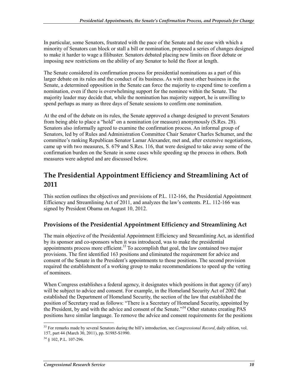In particular, some Senators, frustrated with the pace of the Senate and the ease with which a minority of Senators can block or stall a bill or nomination, proposed a series of changes designed to make it harder to wage a filibuster. Senators debated placing new limits on floor debate or imposing new restrictions on the ability of any Senator to hold the floor at length.

The Senate considered its confirmation process for presidential nominations as a part of this larger debate on its rules and the conduct of its business. As with most other business in the Senate, a determined opposition in the Senate can force the majority to expend time to confirm a nomination, even if there is overwhelming support for the nominee within the Senate. The majority leader may decide that, while the nomination has majority support, he is unwilling to spend perhaps as many as three days of Senate sessions to confirm one nomination.

At the end of the debate on its rules, the Senate approved a change designed to prevent Senators from being able to place a "hold" on a nomination (or measure) anonymously (S.Res. 28). Senators also informally agreed to examine the confirmation process. An informal group of Senators, led by of Rules and Administration Committee Chair Senator Charles Schumer, and the committee's ranking Republican Senator Lamar Alexander, met and, after extensive negotiations, came up with two measures, S. 679 and S.Res. 116, that were designed to take away some of the confirmation burden on the Senate in some cases while speeding up the process in others. Both measures were adopted and are discussed below.

### **The Presidential Appointment Efficiency and Streamlining Act of 2011**

This section outlines the objectives and provisions of P.L. 112-166, the Presidential Appointment Efficiency and Streamlining Act of 2011, and analyzes the law's contents. P.L. 112-166 was signed by President Obama on August 10, 2012.

#### **Provisions of the Presidential Appointment Efficiency and Streamlining Act**

The main objective of the Presidential Appointment Efficiency and Streamlining Act, as identified by its sponsor and co-sponsors when it was introduced, was to make the presidential appointments process more efficient.<sup>33</sup> To accomplish that goal, the law contained two major provisions. The first identified 163 positions and eliminated the requirement for advice and consent of the Senate in the President's appointments to those positions. The second provision required the establishment of a working group to make recommendations to speed up the vetting of nominees.

When Congress establishes a federal agency, it designates which positions in that agency (if any) will be subject to advice and consent. For example, in the Homeland Security Act of 2002 that established the Department of Homeland Security, the section of the law that established the position of Secretary read as follows: "There is a Secretary of Homeland Security, appointed by the President, by and with the advice and consent of the Senate."<sup>34</sup> Other statutes creating PAS positions have similar language. To remove the advice and consent requirements for the positions

<sup>33</sup> For remarks made by several Senators during the bill's introduction, see *Congressional Record*, daily edition, vol. 157, part 44 (March 30, 2011), pp. S1985-S1990.

 $34 \text{ }$  § 102, P.L. 107-296.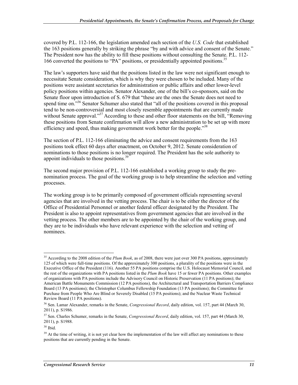covered by P.L. 112-166, the legislation amended each section of the *U.S. Code* that established the 163 positions generally by striking the phrase "by and with advice and consent of the Senate." The President now has the ability to fill these positions without consulting the Senate. P.L. 112- 166 converted the positions to "PA" positions, or presidentially appointed positions.<sup>35</sup>

The law's supporters have said that the positions listed in the law were not significant enough to necessitate Senate consideration, which is why they were chosen to be included. Many of the positions were assistant secretaries for administration or public affairs and other lower-level policy positions within agencies. Senator Alexander, one of the bill's co-sponsors, said on the Senate floor upon introduction of S. 679 that "these are the ones the Senate does not need to spend time on.<sup>336</sup> Senator Schumer also stated that "all of the positions covered in this proposal tend to be non-controversial and most closely resemble appointments that are currently made without Senate approval."<sup>37</sup> According to these and other floor statements on the bill, "Removing these positions from Senate confirmation will allow a new administration to be set up with more efficiency and speed, thus making government work better for the people."<sup>38</sup>

The section of P.L. 112-166 eliminating the advice and consent requirements from the 163 positions took effect 60 days after enactment, on October 9, 2012. Senate consideration of nominations to those positions is no longer required. The President has the sole authority to appoint individuals to those positions.<sup>39</sup>

The second major provision of P.L. 112-166 established a working group to study the prenomination process. The goal of the working group is to help streamline the selection and vetting processes.

The working group is to be primarily composed of government officials representing several agencies that are involved in the vetting process. The chair is to be either the director of the Office of Presidential Personnel or another federal officer designated by the President. The President is also to appoint representatives from government agencies that are involved in the vetting process. The other members are to be appointed by the chair of the working group, and they are to be individuals who have relevant experience with the selection and vetting of nominees.

<sup>&</sup>lt;u>.</u> <sup>35</sup> According to the 2008 edition of the *Plum Book*, as of 2008, there were just over 300 PA positions, approximately 125 of which were full-time positions. Of the approximately 300 positions, a plurality of the positions were in the Executive Office of the President (116). Another 55 PA positions comprise the U.S. Holocaust Memorial Council, and the rest of the organizations with PA positions listed in the *Plum Book* have 15 or fewer PA positions. Other examples of organizations with PA positions include the Advisory Council on Historic Preservation (11 PA positions); the American Battle Monuments Commission (12 PA positions), the Architectural and Transportation Barriers Compliance Board (13 PA positions); the Christopher Columbus Fellowship Foundation (13 PA positions); the Committee for Purchase from People Who Are Blind or Severely Disabled (15 PA positions); and the Nuclear Waste Technical Review Board (11 PA positions).

<sup>36</sup> Sen. Lamar Alexander, remarks in the Senate, *Congressional Record*, daily edition, vol. 157, part 44 (March 30, 2011), p. S1986.

<sup>37</sup> Sen. Charles Schumer, remarks in the Senate, *Congressional Record*, daily edition, vol. 157, part 44 (March 30, 2011), p. S1988.

<sup>38</sup> Ibid.

 $39$  At the time of writing, it is not yet clear how the implementation of the law will affect any nominations to these positions that are currently pending in the Senate.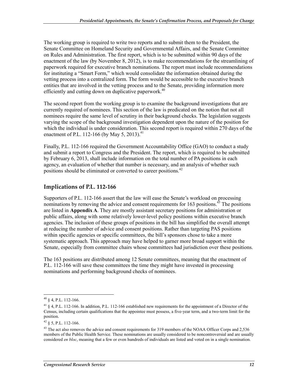The working group is required to write two reports and to submit them to the President, the Senate Committee on Homeland Security and Governmental Affairs, and the Senate Committee on Rules and Administration. The first report, which is to be submitted within 90 days of the enactment of the law (by November 8, 2012), is to make recommendations for the streamlining of paperwork required for executive branch nominations. The report must include recommendations for instituting a "Smart Form," which would consolidate the information obtained during the vetting process into a centralized form. The form would be accessible to the executive branch entities that are involved in the vetting process and to the Senate, providing information more efficiently and cutting down on duplicative paperwork.<sup>40</sup>

The second report from the working group is to examine the background investigations that are currently required of nominees. This section of the law is predicated on the notion that not all nominees require the same level of scrutiny in their background checks. The legislation suggests varying the scope of the background investigation dependent upon the nature of the position for which the individual is under consideration. This second report is required within 270 days of the enactment of P.L. 112-166 (by May 5, 2013).<sup>41</sup>

Finally, P.L. 112-166 required the Government Accountability Office (GAO) to conduct a study and submit a report to Congress and the President. The report, which is required to be submitted by February 6, 2013, shall include information on the total number of PA positions in each agency, an evaluation of whether that number is necessary, and an analysis of whether such positions should be eliminated or converted to career positions.<sup>42</sup>

#### **Implications of P.L. 112-166**

Supporters of P.L. 112-166 assert that the law will ease the Senate's workload on processing nominations by removing the advice and consent requirements for  $163$  positions.<sup>43</sup> The positions are listed in **Appendix A**. They are mostly assistant secretary positions for administration or public affairs, along with some relatively lower-level policy positions within executive branch agencies. The inclusion of these groups of positions in the bill has simplified the overall attempt at reducing the number of advice and consent positions. Rather than targeting PAS positions within specific agencies or specific committees, the bill's sponsors chose to take a more systematic approach. This approach may have helped to garner more broad support within the Senate, especially from committee chairs whose committees had jurisdiction over these positions.

The 163 positions are distributed among 12 Senate committees, meaning that the enactment of P.L. 112-166 will save these committees the time they might have invested in processing nominations and performing background checks of nominees.

<sup>1</sup>  $40 \S 4$ , P.L. 112-166.

<sup>41 § 4,</sup> P.L. 112-166. In addition, P.L. 112-166 established new requirements for the appointment of a Director of the Census, including certain qualifications that the appointee must possess, a five-year term, and a two-term limit for the position.

 $42 \S$  5, P.L. 112-166.

<sup>&</sup>lt;sup>43</sup> The act also removes the advice and consent requirements for 319 members of the NOAA Officer Corps and 2,536 members of the Public Health Service. These nominations are usually considered to be noncontroversial and are usually considered *en bloc*, meaning that a few or even hundreds of individuals are listed and voted on in a single nomination.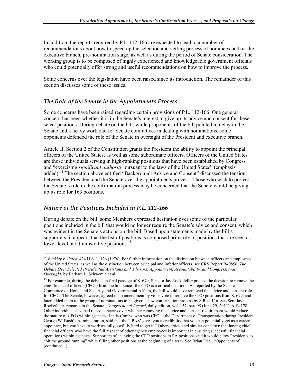In addition, the reports required by P.L. 112-166 are expected to lead to a number of recommendations about how to speed up the selection and vetting process of nominees both at the executive branch, pre-nomination stage, as well as during the period of Senate consideration. The working group is to be composed of highly experienced and knowledgeable government officials who could potentially offer strong and useful recommendations on how to improve the process.

Some concerns over the legislation have been raised since its introduction. The remainder of this section discusses some of these issues.

#### *The Role of the Senate in the Appointments Process*

Some concerns have been raised regarding certain provisions of P.L. 112-166. One general concern has been whether it is in the Senate's interest to give up its advice and consent for these select positions. During debate on the bill, while proponents of the bill pointed to delay in the Senate and a heavy workload for Senate committees in dealing with nominations, some opponents defended the role of the Senate in oversight of the President and executive branch.

Article II, Section 2 of the Constitution grants the President the ability to appoint the principal officers of the United States, as well as some subordinate officers. Officers of the United States are those individuals serving in high-ranking positions that have been established by Congress and "exercising *significant authority* pursuant to the laws of the United States" (emphasis added).44 The section above entitled "Background: Advice and Consent" discussed the tension between the President and the Senate over the appointments process. Those who wish to protect the Senate's role in the confirmation process may be concerned that the Senate would be giving up its role for 163 positions.

#### *Nature of the Positions Included in P.L. 112-166*

During debate on the bill, some Members expressed hesitation over some of the particular positions included in the bill that would no longer require the Senate's advice and consent, which was evident in the Senate's actions on the bill. Based upon statements made by the bill's supporters, it appears that the list of positions is composed primarily of positions that are seen as lower-level or administrative positions.<sup>45</sup>

<sup>44</sup> *Buckley v. Valeo*, 424 U.S. 1, 126 (1976). For further information on the distinction between officers and employees of the United States, as well as the distinction between principal and inferior officers, see CRS Report R40856, *The Debate Over Selected Presidential Assistants and Advisors: Appointment, Accountability, and Congressional Oversight*, by Barbara L. Schwemle et al.

<sup>&</sup>lt;sup>45</sup> For example, during the debate on final passage of S. 679, Senator Jay Rockefeller praised the decision to remove the chief financial officers (CFOs) from the bill, since "the CFO is a critical position." As reported by the Senate Committee on Homeland Security and Governmental Affairs, the bill would have removed the advice and consent role for CFOs. The Senate, however, agreed to an amendment by voice vote to remove the CFO positions from S. 679, and later added them to the group of nominations to be given a new confirmation process by S.Res. 116. See Sen. Jay Rockefeller, remarks in the Senate, *Congressional Record*, daily edition, vol. 157, part 95 (June 29, 2011), p. S4178. Other individuals also had raised concerns over whether removing the advice and consent requirement would reduce the stature of CFOs within agencies. Linda Combs, who was CFO at the Department of Transportation during President George W. Bush's Administration, said that the "'PAS' gives you a credibility that you can potentially get as a career appointee, but you have to work awfully, awfully hard to get it." Others articulated similar concerns: that having chief financial officers who have the full respect of other agency employees is important in ensuring successful financial operations within agencies. Supporters of changing the CFO positions to PA positions said it would allow Presidents to "hit the ground running" while filling other positions at the beginning of a term. See Brian Friel, "Opponents of (continued...)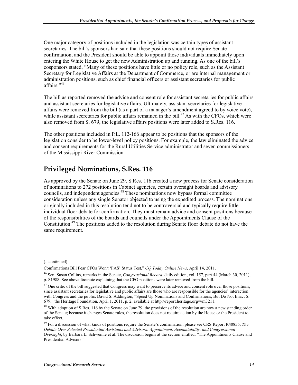One major category of positions included in the legislation was certain types of assistant secretaries. The bill's sponsors had said that these positions should not require Senate confirmation, and the President should be able to appoint those individuals immediately upon entering the White House to get the new Administration up and running. As one of the bill's cosponsors stated, "Many of these positions have little or no policy role, such as the Assistant Secretary for Legislative Affairs at the Department of Commerce, or are internal management or administration positions, such as chief financial officers or assistant secretaries for public affairs."46

The bill as reported removed the advice and consent role for assistant secretaries for public affairs and assistant secretaries for legislative affairs. Ultimately, assistant secretaries for legislative affairs were removed from the bill (as a part of a manager's amendment agreed to by voice vote), while assistant secretaries for public affairs remained in the bill.<sup>47</sup> As with the CFOs, which were also removed from S. 679, the legislative affairs positions were later added to S.Res. 116.

The other positions included in P.L. 112-166 appear to be positions that the sponsors of the legislation consider to be lower-level policy positions. For example, the law eliminated the advice and consent requirements for the Rural Utilities Service administrator and seven commissioners of the Mississippi River Commission.

### **Privileged Nominations, S.Res. 116**

As approved by the Senate on June 29, S.Res. 116 created a new process for Senate consideration of nominations to 272 positions in Cabinet agencies, certain oversight boards and advisory councils, and independent agencies.48 These nominations now bypass formal committee consideration unless any single Senator objected to using the expedited process. The nominations originally included in this resolution tend not to be controversial and typically require little individual floor debate for confirmation. They must remain advice and consent positions because of the responsibilities of the boards and councils under the Appointments Clause of the Constitution.49 The positions added to the resolution during Senate floor debate do not have the same requirement.

<sup>(...</sup>continued)

Confirmations Bill Fear CFOs Won't 'PAS' Status Test," *CQ Today Online News*, April 14, 2011.

<sup>46</sup> Sen. Susan Collins, remarks in the Senate, *Congressional Record*, daily edition, vol. 157, part 44 (March 30, 2011), p. S1988. See above footnote explaining that the CFO positions were later removed from the bill.

 $47$  One critic of the bill suggested that Congress may want to preserve its advice and consent role over those positions, since assistant secretaries for legislative and public affairs are those who are responsible for the agencies' interaction with Congress and the public. David S. Addington, "Speed Up Nominations and Confirmations, But Do Not Enact S. 679," the Heritage Foundation, April 1, 2011, p. 2, available at http://report.heritage.org/wm3211.

<sup>&</sup>lt;sup>48</sup> With adoption of S.Res. 116 by the Senate on June 29, the provisions of the resolution are now a new standing order of the Senate; because it changes Senate rules, the resolution does not require action by the House or the President to take effect.

<sup>49</sup> For a discussion of what kinds of positions require the Senate's confirmation, please see CRS Report R40856, *The Debate Over Selected Presidential Assistants and Advisors: Appointment, Accountability, and Congressional Oversight*, by Barbara L. Schwemle et al. The discussion begins at the section entitled, "The Appointments Clause and Presidential Advisors."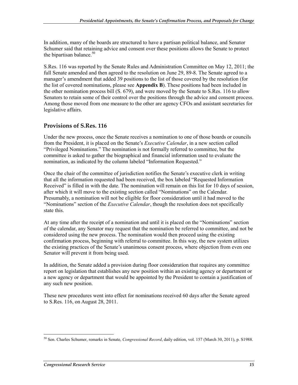In addition, many of the boards are structured to have a partisan political balance, and Senator Schumer said that retaining advice and consent over these positions allows the Senate to protect the bipartisan balance.<sup>50</sup>

S.Res. 116 was reported by the Senate Rules and Administration Committee on May 12, 2011; the full Senate amended and then agreed to the resolution on June 29, 89-8. The Senate agreed to a manager's amendment that added 39 positions to the list of those covered by the resolution (for the list of covered nominations, please see **Appendix B**). These positions had been included in the other nomination process bill (S. 679), and were moved by the Senate to S.Res. 116 to allow Senators to retain some of their control over the positions through the advice and consent process. Among those moved from one measure to the other are agency CFOs and assistant secretaries for legislative affairs.

#### **Provisions of S.Res. 116**

Under the new process, once the Senate receives a nomination to one of those boards or councils from the President, it is placed on the Senate's *Executive Calendar*, in a new section called "Privileged Nominations." The nomination is not formally referred to committee, but the committee is asked to gather the biographical and financial information used to evaluate the nomination, as indicated by the column labeled "Information Requested."

Once the chair of the committee of jurisdiction notifies the Senate's executive clerk in writing that all the information requested had been received, the box labeled "Requested Information Received" is filled in with the date. The nomination will remain on this list for 10 days of session, after which it will move to the existing section called "Nominations" on the Calendar. Presumably, a nomination will not be eligible for floor consideration until it had moved to the "Nominations" section of the *Executive Calendar*, though the resolution does not specifically state this.

At any time after the receipt of a nomination and until it is placed on the "Nominations" section of the calendar, any Senator may request that the nomination be referred to committee, and not be considered using the new process. The nomination would then proceed using the existing confirmation process, beginning with referral to committee. In this way, the new system utilizes the existing practices of the Senate's unanimous consent process, where objection from even one Senator will prevent it from being used.

In addition, the Senate added a provision during floor consideration that requires any committee report on legislation that establishes any new position within an existing agency or department or a new agency or department that would be appointed by the President to contain a justification of any such new position.

These new procedures went into effect for nominations received 60 days after the Senate agreed to S.Res. 116, on August 28, 2011.

<sup>&</sup>lt;u>.</u> 50 Sen. Charles Schumer, remarks in Senate, *Congressional Record*, daily edition, vol. 157 (March 30, 2011), p. S1988.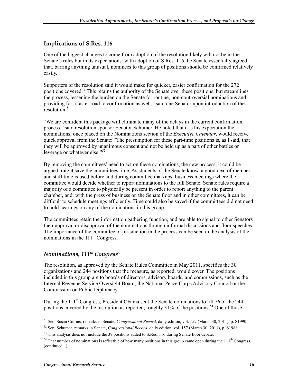#### **Implications of S.Res. 116**

One of the biggest changes to come from adoption of the resolution likely will not be in the Senate's rules but in its expectations: with adoption of S.Res. 116 the Senate essentially agreed that, barring anything unusual, nominees to this group of positions should be confirmed relatively easily.

Supporters of the resolution said it would make for quicker, easier confirmation for the 272 positions covered. "This retains the authority of the Senate over these positions, but streamlines the process, lessening the burden on the Senate for routine, non-controversial nominations and providing for a faster road to confirmation as well," said one Senator upon introduction of the  $resolution<sup>51</sup>$ 

"We are confident this package will eliminate many of the delays in the current confirmation process," said resolution sponsor Senator Schumer. He noted that it is his expectation the nominations, once placed on the Nominations section of the *Executive Calendar*, would receive quick approval from the Senate: "The presumption for these part-time positions is, as I said, that they will be approved by unanimous consent and not be held up as a part of other battles or leverage or whatever else."<sup>52</sup>

By removing the committees' need to act on these nominations, the new process, it could be argued, might save the committees time. As students of the Senate know, a good deal of member and staff time is used before and during committee markups, business meetings where the committee would decide whether to report nominations to the full Senate. Senate rules require a majority of a committee to physically be present in order to report anything to the parent chamber, and, with the press of business on the Senate floor and in other committees, it can be difficult to schedule meetings efficiently. Time could also be saved if the committees did not need to hold hearings on any of the nominations in this group.

The committees retain the information gathering function, and are able to signal to other Senators their approval or disapproval of the nominations through informal discussions and floor speeches. The importance of the committee of jurisdiction in the process can be seen in the analysis of the nominations in the  $111<sup>th</sup>$  Congress.

#### *Nominations, 111th Congress53*

The resolution, as approved by the Senate Rules Committee in May 2011, specifies the 30 organizations and 244 positions that the measure, as reported, would cover. The positions included in this group are to boards of directors, advisory boards, and commissions, such as the Internal Revenue Service Oversight Board, the National Peace Corps Advisory Council or the Commission on Public Diplomacy.

During the 111<sup>th</sup> Congress, President Obama sent the Senate nominations to fill 76 of the 244 positions covered by the resolution as reported, roughly  $31\%$  of the positions.<sup>54</sup> One of those

<sup>1</sup> 51 Sen. Susan Collins, remarks in Senate, *Congressional Record*, daily edition, vol. 157 (March 30, 2011), p. S1990.

<sup>52</sup> Sen. Schumer, remarks in Senate, *Congressional Record*, daily edition, vol. 157 (March 30, 2011), p. S1988.

 $53$  This analysis does not include the 39 positions added to S.Res. 116 during Senate floor debate.

<sup>&</sup>lt;sup>54</sup> That number of nominations is reflective of how many positions in this group came open during the  $111<sup>th</sup>$  Congress. (continued...)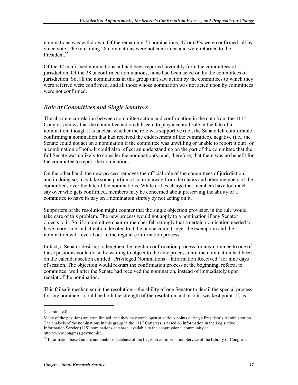nominations was withdrawn. Of the remaining 75 nominations, 47 or 63% were confirmed, all by voice vote. The remaining 28 nominations were not confirmed and were returned to the President.<sup>55</sup>

Of the 47 confirmed nominations, all had been reported favorably from the committees of jurisdiction. Of the 28 unconfirmed nominations, none had been acted on by the committees of jurisdiction. So, all the nominations in this group that saw action by the committees to which they were referred were confirmed, and all those whose nomination was not acted upon by committees were not confirmed.

#### *Role of Committees and Single Senators*

The absolute correlation between committee action and confirmation in the data from the  $111<sup>th</sup>$ Congress shows that the committee action did seem to play a central role in the fate of a nomination, though it is unclear whether the role was supportive (i.e., the Senate felt comfortable confirming a nomination that had received the endorsement of the committee), negative (i.e., the Senate could not act on a nomination if the committee was unwilling or unable to report it out), or a combination of both. It could also reflect an understanding on the part of the committee that the full Senate was unlikely to consider the nomination(s) and, therefore, that there was no benefit for the committee to report the nominations.

On the other hand, the new process removes the official role of the committees of jurisdiction, and in doing so, may take some portion of control away from the chairs and other members of the committees over the fate of the nominations. While critics charge that members have too much say over who gets confirmed, members may be concerned about preserving the ability of a committee to have its say on a nomination simply by not acting on it.

Supporters of the resolution might counter that the single objection provision in the rule would take care of this problem. The new process would not apply to a nomination if any Senator objects to it. So, if a committee chair or member felt strongly that a certain nomination needed to have more time and attention devoted to it, he or she could trigger the exemption and the nomination will revert back to the regular confirmation process.

In fact, a Senator desiring to lengthen the regular confirmation process for any nominee to one of these positions could do so by waiting to object to the new process until the nomination had been on the calendar section entitled "Privileged Nominations – Information Received" for nine days of session. The objection would re-start the confirmation process at the beginning, referral to committee, well after the Senate had received the nomination, instead of immediately upon receipt of the nomination.

This failsafe mechanism in the resolution—the ability of one Senator to derail the special process for any nominee—could be both the strength of the resolution and also its weakest point. If, as

 $\overline{a}$ 

<sup>(...</sup>continued)

Many of the positions are term limited, and they may come open at various points during a President's Administration. The analysis of the nominations in this group in the  $111<sup>th</sup>$  Congress is based on information in the Legislative Information Service (LIS) nominations database, available to the congressional community at http://www.congress.gov/nomis/.

<sup>&</sup>lt;sup>55</sup> Information based on the nominations database of the Legislative Information Service of the Library of Congress.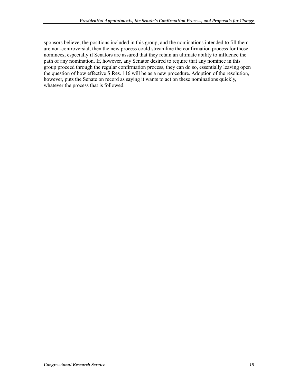sponsors believe, the positions included in this group, and the nominations intended to fill them are non-controversial, then the new process could streamline the confirmation process for those nominees, especially if Senators are assured that they retain an ultimate ability to influence the path of any nomination. If, however, any Senator desired to require that any nominee in this group proceed through the regular confirmation process, they can do so, essentially leaving open the question of how effective S.Res. 116 will be as a new procedure. Adoption of the resolution, however, puts the Senate on record as saying it wants to act on these nominations quickly, whatever the process that is followed.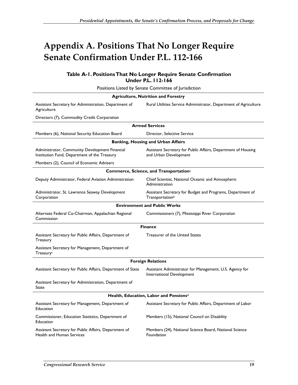## **Appendix A. Positions That No Longer Require Senate Confirmation Under P.L. 112-166**

#### **Table A-1. Positions That No Longer Require Senate Confirmation Under P.L. 112-166**

| Positions Listed by Senate Committee of Jurisdiction                                           |                                                                                           |
|------------------------------------------------------------------------------------------------|-------------------------------------------------------------------------------------------|
|                                                                                                | <b>Agriculture, Nutrition and Forestry</b>                                                |
| Assistant Secretary for Administration, Department of<br>Agriculture                           | Rural Utilities Service Administrator, Department of Agriculture                          |
| Directors (7), Commodity Credit Corporation                                                    |                                                                                           |
|                                                                                                | <b>Armed Services</b>                                                                     |
| Members (6), National Security Education Board                                                 | Director, Selective Service                                                               |
|                                                                                                | <b>Banking, Housing and Urban Affairs</b>                                                 |
| Administrator, Community Development Financial<br>Institution Fund, Department of the Treasury | Assistant Secretary for Public Affairs, Department of Housing<br>and Urban Development    |
| Members (2), Council of Economic Advisers                                                      |                                                                                           |
|                                                                                                | Commerce, Science, and Transportation <sup>a</sup>                                        |
| Deputy Administrator, Federal Aviation Administration                                          | Chief Scientist, National Oceanic and Atmospheric<br>Administration                       |
| Administrator, St. Lawrence Seaway Development<br>Corporation                                  | Assistant Secretary for Budget and Programs, Department of<br>Transportation <sup>b</sup> |
|                                                                                                | <b>Environment and Public Works</b>                                                       |
| Alternate Federal Co-Chairman, Appalachian Regional<br>Commission                              | Commissioners (7), Mississippi River Corporation                                          |
|                                                                                                | <b>Finance</b>                                                                            |
| Assistant Secretary for Public Affairs, Department of<br>Treasury                              | Treasurer of the United States                                                            |
| Assistant Secretary for Management, Department of<br>Treasury <sup>c</sup>                     |                                                                                           |
|                                                                                                | <b>Foreign Relations</b>                                                                  |
| Assistant Secretary for Public Affairs, Department of State                                    | Assistant Administrator for Management, U.S. Agency for<br>International Development      |
| Assistant Secretary for Administration, Department of<br>State                                 |                                                                                           |
| Health, Education, Labor and Pensionsd                                                         |                                                                                           |
| Assistant Secretary for Management, Department of<br>Education                                 | Assistant Secretary for Public Affairs, Department of Labor                               |
| Commissioner, Education Statistics, Department of<br>Education                                 | Members (15), National Council on Disability                                              |
| Assistant Secretary for Public Affairs, Department of<br>Health and Human Services             | Members (24), National Science Board, National Science<br>Foundation                      |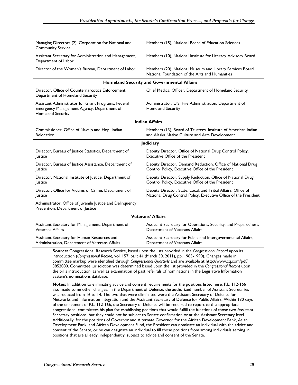| Managing Directors (2), Corporation for National and<br><b>Community Service</b>                                       | Members (15), National Board of Education Sciences                                                                              |  |
|------------------------------------------------------------------------------------------------------------------------|---------------------------------------------------------------------------------------------------------------------------------|--|
| Assistant Secretary for Administration and Management,<br>Department of Labor                                          | Members (10), National Institute for Literacy Advisory Board                                                                    |  |
| Director of the Women's Bureau, Department of Labor                                                                    | Members (20), National Museum and Library Services Board,<br>National Foundation of the Arts and Humanities                     |  |
|                                                                                                                        | <b>Homeland Security and Governmental Affairs</b>                                                                               |  |
| Director, Office of Counternarcotics Enforcement,<br>Department of Homeland Security                                   | Chief Medical Officer, Department of Homeland Security                                                                          |  |
| Assistant Administrator for Grant Programs, Federal<br>Emergency Management Agency, Department of<br>Homeland Security | Administrator, U.S. Fire Administration, Department of<br><b>Homeland Security</b>                                              |  |
|                                                                                                                        | <b>Indian Affairs</b>                                                                                                           |  |
| Commissioner, Office of Navajo and Hopi Indian<br>Relocation                                                           | Members (13), Board of Trustees, Institute of American Indian<br>and Alaska Native Culture and Arts Development                 |  |
|                                                                                                                        | <b>Judiciary</b>                                                                                                                |  |
| Director, Bureau of Justice Statistics, Department of<br>Justice                                                       | Deputy Director, Office of National Drug Control Policy,<br>Executive Office of the President                                   |  |
| Director, Bureau of Justice Assistance, Department of<br>Justice                                                       | Deputy Director, Demand Reduction, Office of National Drug<br>Control Policy, Executive Office of the President                 |  |
| Director, National Institute of Justice, Department of<br>Justice                                                      | Deputy Director, Supply Reduction, Office of National Drug<br>Control Policy, Executive Office of the President                 |  |
| Director, Office for Victims of Crime, Department of<br><b>Justice</b>                                                 | Deputy Director, State, Local, and Tribal Affairs, Office of<br>National Drug Control Policy, Executive Office of the President |  |
| Administrator, Office of Juvenile Justice and Delinquency<br>Prevention, Department of Justice                         |                                                                                                                                 |  |
| <b>Veterans' Affairs</b>                                                                                               |                                                                                                                                 |  |
| Assistant Secretary for Management, Department of<br><b>Veterans Affairs</b>                                           | Assistant Secretary for Operations, Security, and Preparedness,<br>Department of Veterans Affairs                               |  |
| Assistant Secretary for Human Resources and                                                                            | Assistant Secretary for Public and Intergovernmental Affairs,                                                                   |  |

Assistant Secretary for Human Resources and Administration, Department of Veterans Affairs

> **Source:** Congressional Research Service, based upon the lists provided in the *Congressional Record* upon its introduction (*Congressional Record,* vol. 157, part 44 (March 30, 2011), pp. 1985-1990). Changes made in committee markup were identified through *Congressional Quarterly* and are available at http://www.cq.com/pdf/ 3852080. Committee jurisdiction was determined based upon the list provided in the *Congressional Record* upon the bill's introduction, as well as examination of past referrals of nominations in the Legislative Information System's nominations database.

Department of Veterans Affairs

**Notes:** In addition to eliminating advice and consent requirements for the positions listed here, P.L. 112-166 also made some other changes. In the Department of Defense, the authorized number of Assistant Secretaries was reduced from 16 to 14. The two that were eliminated were the Assistant Secretary of Defense for Networks and Information Integration and the Assistant Secretary of Defense for Public Affairs. Within 180 days of the enactment of P.L. 112-166, the Secretary of Defense will be required to report to the appropriate congressional committees his plan for establishing positions that would fulfill the functions of those two Assistant Secretary positions, but they could not be subject to Senate confirmation or at the Assistant Secretary level. Additionally, for the positions of Governor and Alternate Governor for the African Development Bank, Asian Development Bank, and African Development Fund, the President can nominate an individual with the advice and consent of the Senate, or he can designate an individual to fill those positions from among individuals serving in positions that are already, independently, subject to advice and consent of the Senate.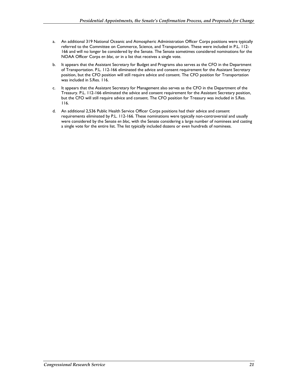- a. An additional 319 National Oceanic and Atmospheric Administration Officer Corps positions were typically referred to the Committee on Commerce, Science, and Transportation. These were included in P.L. 112- 166 and will no longer be considered by the Senate. The Senate sometimes considered nominations for the NOAA Officer Corps *en bloc*, or in a list that receives a single vote.
- b. It appears that the Assistant Secretary for Budget and Programs also serves as the CFO in the Department of Transportation. P.L. 112-166 eliminated the advice and consent requirement for the Assistant Secretary position, but the CFO position will still require advice and consent. The CFO position for Transportation was included in S.Res. 116.
- c. It appears that the Assistant Secretary for Management also serves as the CFO in the Department of the Treasury. P.L. 112-166 eliminated the advice and consent requirement for the Assistant Secretary position, but the CFO will still require advice and consent. The CFO position for Treasury was included in S.Res. 116.
- d. An additional 2,536 Public Health Service Officer Corps positions had their advice and consent requirements eliminated by P.L. 112-166. These nominations were typically non-controversial and usually were considered by the Senate *en bloc*, with the Senate considering a large number of nominees and casting a single vote for the entire list. The list typically included dozens or even hundreds of nominees.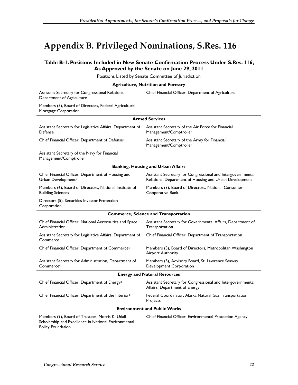## **Appendix B. Privileged Nominations, S.Res. 116**

#### **Table B-1. Positions Included in New Senate Confirmation Process Under S.Res. 116, As Approved by the Senate on June 29, 2011**

Positions Listed by Senate Committee of Jurisdiction

| <b>Agriculture, Nutrition and Forestry</b>                                                              |                                                                                                                       |  |
|---------------------------------------------------------------------------------------------------------|-----------------------------------------------------------------------------------------------------------------------|--|
| Assistant Secretary for Congressional Relations,<br>Department of Agriculture                           | Chief Financial Officer, Department of Agriculture                                                                    |  |
| Members (5), Board of Directors, Federal Agricultural<br>Mortgage Corporation                           |                                                                                                                       |  |
|                                                                                                         | <b>Armed Services</b>                                                                                                 |  |
| Assistant Secretary for Legislative Affairs, Department of<br>Defense                                   | Assistant Secretary of the Air Force for Financial<br>Management/Comptroller                                          |  |
| Chief Financial Officer, Department of Defense <sup>a</sup>                                             | Assistant Secretary of the Army for Financial<br>Management/Comptroller                                               |  |
| Assistant Secretary of the Navy for Financial<br>Management/Comptroller                                 |                                                                                                                       |  |
|                                                                                                         | <b>Banking, Housing and Urban Affairs</b>                                                                             |  |
| Chief Financial Officer, Department of Housing and<br>Urban Development <sup>b</sup>                    | Assistant Secretary for Congressional and Intergovernmental<br>Relations, Department of Housing and Urban Development |  |
| Members (6), Board of Directors, National Institute of<br><b>Building Sciences</b>                      | Members (3), Board of Directors, National Consumer<br>Cooperative Bank                                                |  |
| Directors (5), Securities Investor Protection<br>Corporation                                            |                                                                                                                       |  |
|                                                                                                         | <b>Commerce, Science and Transportation</b>                                                                           |  |
| Chief Financial Officer, National Aeronautics and Space<br>Administration                               | Assistant Secretary for Governmental Affairs, Department of<br>Transportation                                         |  |
| Assistant Secretary for Legislative Affairs, Department of<br>Commerce                                  | Chief Financial Officer, Department of Transportation                                                                 |  |
| Chief Financial Officer, Department of Commercec                                                        | Members (3), Board of Directors, Metropolitan Washington<br><b>Airport Authority</b>                                  |  |
| Assistant Secretary for Administration, Department of<br>Commerces                                      | Members (5), Advisory Board, St. Lawrence Seaway<br>Development Corporation                                           |  |
| <b>Energy and Natural Resources</b>                                                                     |                                                                                                                       |  |
| Chief Financial Officer, Department of Energy <sup>d</sup>                                              | Assistant Secretary for Congressional and Intergovernmental<br>Affairs, Department of Energy                          |  |
| Chief Financial Officer, Department of the Interiore                                                    | Federal Coordinator, Alaska Natural Gas Transportation<br>Projects                                                    |  |
| <b>Environment and Public Works</b>                                                                     |                                                                                                                       |  |
| Members (9), Board of Trustees, Morris K. Udall<br>Scholarship and Excellence in National Environmental | Chief Financial Officer, Environmental Protection Agencyf                                                             |  |

Policy Foundation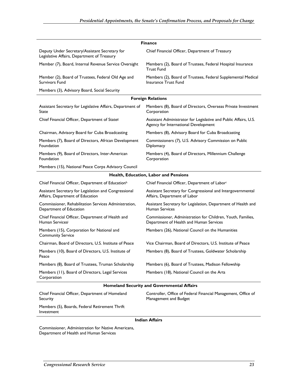| <b>Finance</b>                                                                                |                                                                                                          |  |
|-----------------------------------------------------------------------------------------------|----------------------------------------------------------------------------------------------------------|--|
| Deputy Under Secretary/Assistant Secretary for<br>Legislative Affairs, Department of Treasury | Chief Financial Officer, Department of Treasury                                                          |  |
| Member (7), Board, Internal Revenue Service Oversight                                         | Members (2), Board of Trustees, Federal Hospital Insurance<br><b>Trust Fund</b>                          |  |
| Member (2), Board of Trustees, Federal Old Age and<br><b>Survivors Fund</b>                   | Members (2), Board of Trustees, Federal Supplemental Medical<br>Insurance Trust Fund                     |  |
| Members (3), Advisory Board, Social Security                                                  |                                                                                                          |  |
|                                                                                               | <b>Foreign Relations</b>                                                                                 |  |
| Assistant Secretary for Legislative Affairs, Department of<br>State                           | Members (8), Board of Directors, Overseas Private Investment<br>Corporation                              |  |
| Chief Financial Officer, Department of States                                                 | Assistant Administrator for Legislative and Public Affairs, U.S.<br>Agency for International Development |  |
| Chairman, Advisory Board for Cuba Broadcasting                                                | Members (8), Advisory Board for Cuba Broadcasting                                                        |  |
| Members (7), Board of Directors, African Development<br>Foundation                            | Commissioners (7), U.S. Advisory Commission on Public<br>Diplomacy                                       |  |
| Members (9), Board of Directors, Inter-American<br>Foundation                                 | Members (4), Board of Directors, Millennium Challenge<br>Corporation                                     |  |
| Members (15), National Peace Corps Advisory Council                                           |                                                                                                          |  |
|                                                                                               | Health, Education, Labor and Pensions                                                                    |  |
| Chief Financial Officer, Department of Educationh                                             | Chief Financial Officer, Department of Labori                                                            |  |
| Assistant Secretary for Legislation and Congressional<br>Affairs, Department of Education     | Assistant Secretary for Congressional and Intergovernmental<br>Affairs, Department of Labor              |  |
| Commissioner, Rehabilitation Services Administration,<br>Department of Education              | Assistant Secretary for Legislation, Department of Health and<br>Human Services                          |  |
| Chief Financial Officer, Department of Health and<br>Human Servicesi                          | Commissioner, Administration for Children, Youth, Families,<br>Department of Health and Human Services   |  |
| Members (15), Corporation for National and<br><b>Community Service</b>                        | Members (26), National Council on the Humanities                                                         |  |
| Chairman, Board of Directors, U.S. Institute of Peace                                         | Vice Chairman, Board of Directors, U.S. Institute of Peace                                               |  |
| Members (10), Board of Directors, U.S. Institute of<br>Peace                                  | Members (8), Board of Trustees, Goldwater Scholarship                                                    |  |
| Members (8), Board of Trustees, Truman Scholarship                                            | Members (6), Board of Trustees, Madison Fellowship                                                       |  |
| Members (11), Board of Directors, Legal Services<br>Corporation                               | Members (18), National Council on the Arts                                                               |  |
| <b>Homeland Security and Governmental Affairs</b>                                             |                                                                                                          |  |
| Chief Financial Officer, Department of Homeland<br>Security                                   | Controller, Office of Federal Financial Management, Office of<br>Management and Budget                   |  |
| Members (5) Boards Federal Retirement Thrift                                                  |                                                                                                          |  |

Members (5), Boards, Federal Retirement Thrift Investment

#### **Indian Affairs**

Commissioner, Administration for Native Americans, Department of Health and Human Services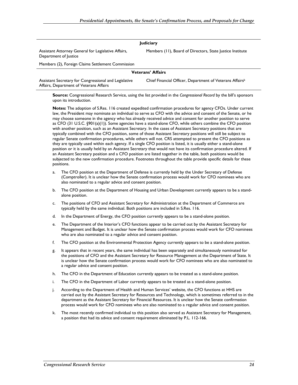| <b>Judiciary</b>                                                                                 |                                                           |  |
|--------------------------------------------------------------------------------------------------|-----------------------------------------------------------|--|
| Assistant Attorney General for Legislative Affairs,<br>Department of Justice                     | Members (11), Board of Directors, State Justice Institute |  |
| Members (2), Foreign Claims Settlement Commission                                                |                                                           |  |
| <b>Veterans' Affairs</b>                                                                         |                                                           |  |
| Assistant Secretary for Congressional and Legislative<br>Affairs, Department of Veterans Affairs | Chief Financial Officer, Department of Veterans Affairsk  |  |

**Source:** Congressional Research Service, using the list provided in the *Congressional Record* by the bill's sponsors upon its introduction.

**Notes:** The adoption of S.Res. 116 created expedited confirmation procedures for agency CFOs. Under current law, the President may nominate an individual to serve as CFO with the advice and consent of the Senate, or he may choose someone in the agency who has already received advice and consent for another position to serve as CFO (31 U.S.C. §901(a)(1)). Some agencies have a stand-alone CFO, while others combine the CFO position with another position, such as an Assistant Secretary. In the cases of Assistant Secretary positions that are typically combined with the CFO position, some of those Assistant Secretary positions will still be subject to regular Senate confirmation procedures, while others will not. CRS attempted to present the CFO positions as they are typically used within each agency. If a single CFO position is listed, it is usually either a stand-alone position or it is usually held by an Assistant Secretary that would not have its confirmation procedure altered. If an Assistant Secretary position and a CFO position are listed together in the table, both positions would be subjected to the new confirmation procedure. Footnotes throughout the table provide specific details for these positions.

- a. The CFO position at the Department of Defense is currently held by the Under Secretary of Defense (Comptroller). It is unclear how the Senate confirmation process would work for CFO nominees who are also nominated to a regular advice and consent position.
- b. The CFO position at the Department of Housing and Urban Development currently appears to be a standalone position.
- c. The positions of CFO and Assistant Secretary for Administration at the Department of Commerce are typically held by the same individual. Both positions are included in S.Res. 116.
- d. In the Department of Energy, the CFO position currently appears to be a stand-alone position.
- e. The Department of the Interior's CFO functions appear to be carried out by the Assistant Secretary for Management and Budget. It is unclear how the Senate confirmation process would work for CFO nominees who are also nominated to a regular advice and consent position.
- f. The CFO position at the Environmental Protection Agency currently appears to be a stand-alone position.
- g. It appears that in recent years, the same individual has been separately and simultaneously nominated for the positions of CFO and the Assistant Secretary for Resource Management at the Department of State. It is unclear how the Senate confirmation process would work for CFO nominees who are also nominated to a regular advice and consent position.
- h. The CFO in the Department of Education currently appears to be treated as a stand-alone position.
- i. The CFO in the Department of Labor currently appears to be treated as a stand-alone position.
- j. According to the Department of Health and Human Services' website, the CFO functions at HHS are carried out by the Assistant Secretary for Resources and Technology, which is sometimes referred to in the department as the Assistant Secretary for Financial Resources. It is unclear how the Senate confirmation process would work for CFO nominees who are also nominated to a regular advice and consent position.
- k. The most recently confirmed individual to this position also served as Assistant Secretary for Management, a position that had its advice and consent requirement eliminated by P.L. 112-166.